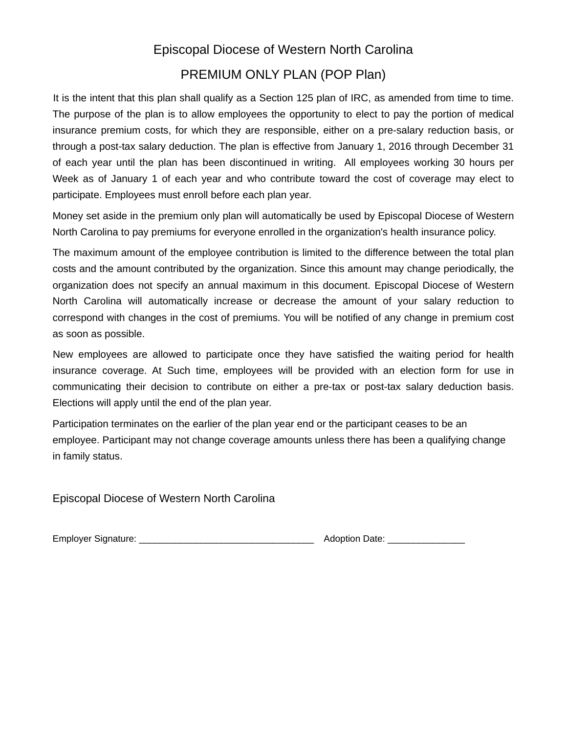# Episcopal Diocese of Western North Carolina

### PREMIUM ONLY PLAN (POP Plan)

It is the intent that this plan shall qualify as a Section 125 plan of IRC, as amended from time to time. The purpose of the plan is to allow employees the opportunity to elect to pay the portion of medical insurance premium costs, for which they are responsible, either on a pre-salary reduction basis, or through a post-tax salary deduction. The plan is effective from January 1, 2016 through December 31 of each year until the plan has been discontinued in writing. All employees working 30 hours per Week as of January 1 of each year and who contribute toward the cost of coverage may elect to participate. Employees must enroll before each plan year.

Money set aside in the premium only plan will automatically be used by Episcopal Diocese of Western North Carolina to pay premiums for everyone enrolled in the organization's health insurance policy.

The maximum amount of the employee contribution is limited to the difference between the total plan costs and the amount contributed by the organization. Since this amount may change periodically, the organization does not specify an annual maximum in this document. Episcopal Diocese of Western North Carolina will automatically increase or decrease the amount of your salary reduction to correspond with changes in the cost of premiums. You will be notified of any change in premium cost as soon as possible.

New employees are allowed to participate once they have satisfied the waiting period for health insurance coverage. At Such time, employees will be provided with an election form for use in communicating their decision to contribute on either a pre-tax or post-tax salary deduction basis. Elections will apply until the end of the plan year.

Participation terminates on the earlier of the plan year end or the participant ceases to be an employee. Participant may not change coverage amounts unless there has been a qualifying change in family status.

Episcopal Diocese of Western North Carolina

Employer Signature: \_\_\_\_\_\_\_\_\_\_\_\_\_\_\_\_\_\_\_\_\_\_\_\_\_\_\_\_\_\_\_\_\_\_ Adoption Date: \_\_\_\_\_\_\_\_\_\_\_\_\_\_\_